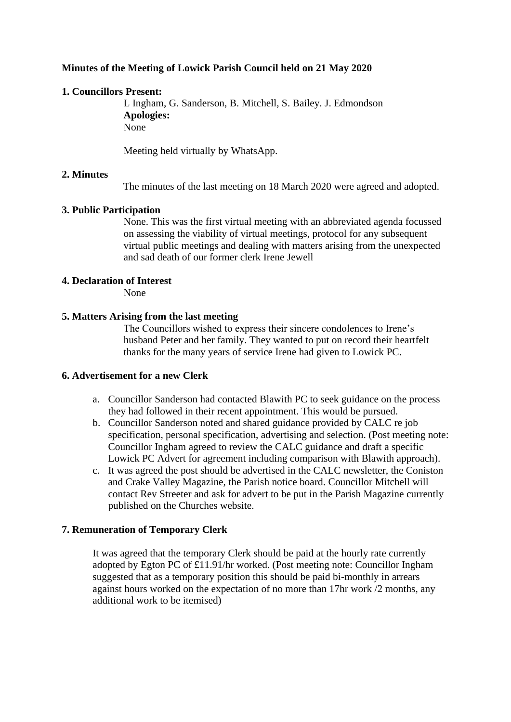# **Minutes of the Meeting of Lowick Parish Council held on 21 May 2020**

# **1. Councillors Present:**

L Ingham, G. Sanderson, B. Mitchell, S. Bailey. J. Edmondson **Apologies:** N<sub>one</sub>

Meeting held virtually by WhatsApp.

## **2. Minutes**

The minutes of the last meeting on 18 March 2020 were agreed and adopted.

## **3. Public Participation**

None. This was the first virtual meeting with an abbreviated agenda focussed on assessing the viability of virtual meetings, protocol for any subsequent virtual public meetings and dealing with matters arising from the unexpected and sad death of our former clerk Irene Jewell

## **4. Declaration of Interest**

None

## **5. Matters Arising from the last meeting**

The Councillors wished to express their sincere condolences to Irene's husband Peter and her family. They wanted to put on record their heartfelt thanks for the many years of service Irene had given to Lowick PC.

## **6. Advertisement for a new Clerk**

- a. Councillor Sanderson had contacted Blawith PC to seek guidance on the process they had followed in their recent appointment. This would be pursued.
- b. Councillor Sanderson noted and shared guidance provided by CALC re job specification, personal specification, advertising and selection. (Post meeting note: Councillor Ingham agreed to review the CALC guidance and draft a specific Lowick PC Advert for agreement including comparison with Blawith approach).
- c. It was agreed the post should be advertised in the CALC newsletter, the Coniston and Crake Valley Magazine, the Parish notice board. Councillor Mitchell will contact Rev Streeter and ask for advert to be put in the Parish Magazine currently published on the Churches website.

# **7. Remuneration of Temporary Clerk**

It was agreed that the temporary Clerk should be paid at the hourly rate currently adopted by Egton PC of £11.91/hr worked. (Post meeting note: Councillor Ingham suggested that as a temporary position this should be paid bi-monthly in arrears against hours worked on the expectation of no more than 17hr work /2 months, any additional work to be itemised)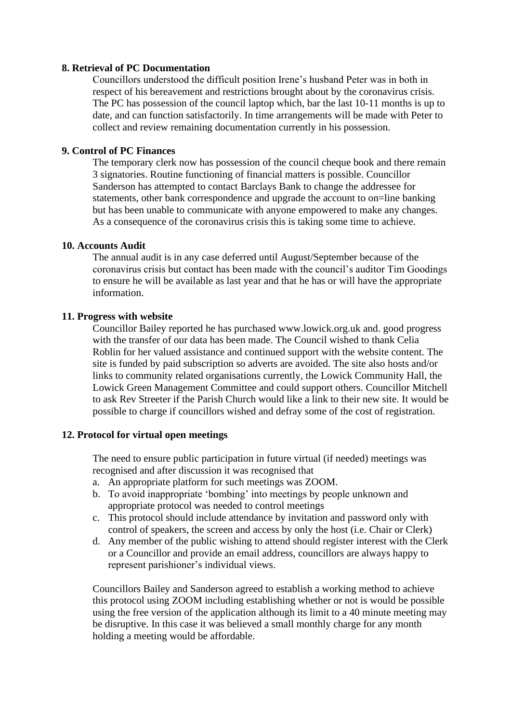#### **8. Retrieval of PC Documentation**

Councillors understood the difficult position Irene's husband Peter was in both in respect of his bereavement and restrictions brought about by the coronavirus crisis. The PC has possession of the council laptop which, bar the last 10-11 months is up to date, and can function satisfactorily. In time arrangements will be made with Peter to collect and review remaining documentation currently in his possession.

#### **9. Control of PC Finances**

The temporary clerk now has possession of the council cheque book and there remain 3 signatories. Routine functioning of financial matters is possible. Councillor Sanderson has attempted to contact Barclays Bank to change the addressee for statements, other bank correspondence and upgrade the account to on=line banking but has been unable to communicate with anyone empowered to make any changes. As a consequence of the coronavirus crisis this is taking some time to achieve.

#### **10. Accounts Audit**

The annual audit is in any case deferred until August/September because of the coronavirus crisis but contact has been made with the council's auditor Tim Goodings to ensure he will be available as last year and that he has or will have the appropriate information.

#### **11. Progress with website**

Councillor Bailey reported he has purchased www.lowick.org.uk and. good progress with the transfer of our data has been made. The Council wished to thank Celia Roblin for her valued assistance and continued support with the website content. The site is funded by paid subscription so adverts are avoided. The site also hosts and/or links to community related organisations currently, the Lowick Community Hall, the Lowick Green Management Committee and could support others. Councillor Mitchell to ask Rev Streeter if the Parish Church would like a link to their new site. It would be possible to charge if councillors wished and defray some of the cost of registration.

## **12. Protocol for virtual open meetings**

The need to ensure public participation in future virtual (if needed) meetings was recognised and after discussion it was recognised that

- a. An appropriate platform for such meetings was ZOOM.
- b. To avoid inappropriate 'bombing' into meetings by people unknown and appropriate protocol was needed to control meetings
- c. This protocol should include attendance by invitation and password only with control of speakers, the screen and access by only the host (i.e. Chair or Clerk)
- d. Any member of the public wishing to attend should register interest with the Clerk or a Councillor and provide an email address, councillors are always happy to represent parishioner's individual views.

Councillors Bailey and Sanderson agreed to establish a working method to achieve this protocol using ZOOM including establishing whether or not is would be possible using the free version of the application although its limit to a 40 minute meeting may be disruptive. In this case it was believed a small monthly charge for any month holding a meeting would be affordable.